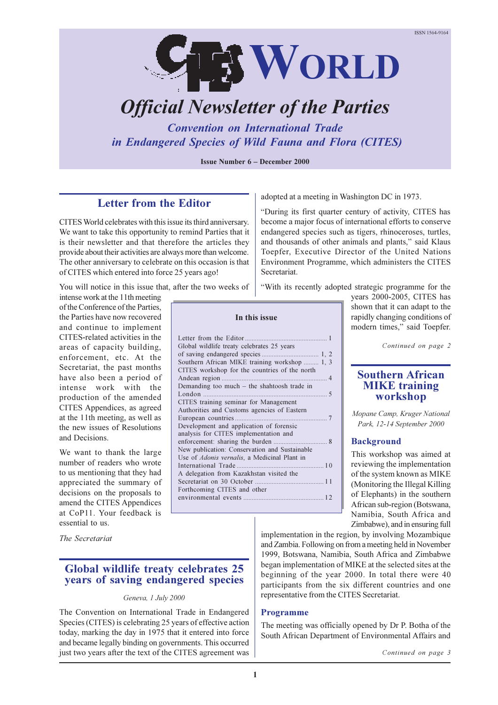

# *Official Newsletter of the Parties*

*Convention on International Trade in Endangered Species of Wild Fauna and Flora (CITES)*

**Issue Number 6 – December 2000** 

**In this issue**

Letter from the Editor................................................. 1

of saving endangered species .................................. 1, 2 Southern African MIKE training workshop ......... 1, 3 CITES workshop for the countries of the north Andean region ............................................................... 4 Demanding too much  $-$  the shahtoosh trade in

Global wildlife treaty celebrates 25 years

CITES training seminar for Management Authorities and Customs agencies of Eastern European countries....................................................... 7 Development and application of forensic analysis for CITES implementation and enforcement: sharing the burden ................. New publication: Conservation and Sustainable Use of *Adonis vernalis*, a Medicinal Plant in

International Trade .................................................... 1 0 A delegation from Kazakhstan visited the

Forthcoming CITES and other

Secretariat on 30 October ......................................... 1 1

environmental events ................................................ 1 2

London .......................................................................... 5

# **Letter from the Editor**

CITES World celebrates with this issue its third anniversary. We want to take this opportunity to remind Parties that it is their newsletter and that therefore the articles they provide about their activities are always more than welcome. The other anniversary to celebrate on this occasion is that of CITES which entered into force 25 years ago!

You will notice in this issue that, after the two weeks of

intense work at the 11th meeting of the Conference of the Parties, the Parties have now recovered and continue to implement CITES-related activities in the areas of capacity building, enforcement, etc. At the Secretariat, the past months have also been a period of intense work with the production of the amended CITES Appendices, as agreed at the 11th meeting, as well as the new issues of Resolutions and Decisions.

We want to thank the large number of readers who wrote to us mentioning that they had appreciated the summary of decisions on the proposals to amend the CITES Appendices at CoP11. Your feedback is essential to us.

*The Secretariat*

# **Global wildlife treaty celebrates 25 years of saving endangered species**

#### *Geneva, 1 July 2000*

The Convention on International Trade in Endangered Species (CITES) is celebrating 25 years of effective action today, marking the day in 1975 that it entered into force and became legally binding on governments. This occurred just two years after the text of the CITES agreement was adopted at a meeting in Washington DC in 1973.

During its first quarter century of activity, CITES has become a major focus of international efforts to conserve endangered species such as tigers, rhinoceroses, turtles, and thousands of other animals and plants," said Klaus Toepfer, Executive Director of the United Nations Environment Programme, which administers the CITES Secretariat.

With its recently adopted strategic programme for the

years 2000-2005, CITES has shown that it can adapt to the rapidly changing conditions of modern times," said Toepfer.

*Continued on page 2*

#### **Southern African MIKE training workshop**

*Mopane Camp, Kruger National Park, 12-14 September 2000*

#### **Background**

This workshop was aimed at reviewing the implementation of the system known as MIKE (Monitoring the Illegal Killing of Elephants) in the southern African sub-region (Botswana, Namibia, South Africa and Zimbabwe), and in ensuring full

implementation in the region, by involving Mozambique and Zambia. Following on from a meeting held in November 1999, Botswana, Namibia, South Africa and Zimbabwe began implementation of MIKE at the selected sites at the beginning of the year 2000. In total there were 40 participants from the six different countries and one representative from the CITES Secretariat.

#### **Programme**

The meeting was officially opened by Dr P. Botha of the South African Department of Environmental Affairs and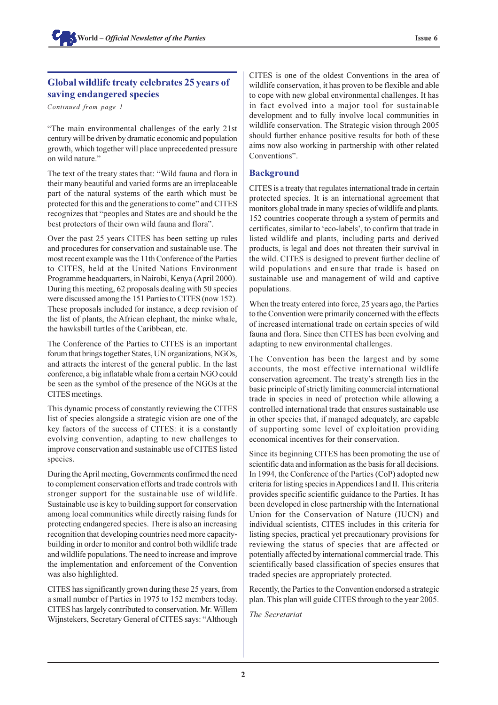# **Global wildlife treaty celebrates 25 years of saving endangered species**

*Continued from page 1*

The main environmental challenges of the early 21st century will be driven by dramatic economic and population growth, which together will place unprecedented pressure on wild nature.

The text of the treaty states that: Wild fauna and flora in their many beautiful and varied forms are an irreplaceable part of the natural systems of the earth which must be protected for this and the generations to come" and CITES recognizes that "peoples and States are and should be the best protectors of their own wild fauna and flora".

Over the past 25 years CITES has been setting up rules and procedures for conservation and sustainable use. The most recent example was the 11th Conference of the Parties to CITES, held at the United Nations Environment Programme headquarters, in Nairobi, Kenya (April 2000). During this meeting, 62 proposals dealing with 50 species were discussed among the 151 Parties to CITES (now 152). These proposals included for instance, a deep revision of the list of plants, the African elephant, the minke whale, the hawksbill turtles of the Caribbean, etc.

The Conference of the Parties to CITES is an important forum that brings together States, UN organizations, NGOs, and attracts the interest of the general public. In the last conference, a big inflatable whale from a certain NGO could be seen as the symbol of the presence of the NGOs at the CITES meetings.

This dynamic process of constantly reviewing the CITES list of species alongside a strategic vision are one of the key factors of the success of CITES: it is a constantly evolving convention, adapting to new challenges to improve conservation and sustainable use of CITES listed species.

During the April meeting, Governments confirmed the need to complement conservation efforts and trade controls with stronger support for the sustainable use of wildlife. Sustainable use is key to building support for conservation among local communities while directly raising funds for protecting endangered species. There is also an increasing recognition that developing countries need more capacitybuilding in order to monitor and control both wildlife trade and wildlife populations. The need to increase and improve the implementation and enforcement of the Convention was also highlighted.

CITES has significantly grown during these 25 years, from a small number of Parties in 1975 to 152 members today. CITES has largely contributed to conservation. Mr. Willem Wijnstekers, Secretary General of CITES says: "Although CITES is one of the oldest Conventions in the area of wildlife conservation, it has proven to be flexible and able to cope with new global environmental challenges. It has in fact evolved into a major tool for sustainable development and to fully involve local communities in wildlife conservation. The Strategic vision through 2005 should further enhance positive results for both of these aims now also working in partnership with other related Conventions".

# **Background**

CITES is a treaty that regulates international trade in certain protected species. It is an international agreement that monitors global trade in many species of wildlife and plants. 152 countries cooperate through a system of permits and certificates, similar to 'eco-labels', to confirm that trade in listed wildlife and plants, including parts and derived products, is legal and does not threaten their survival in the wild. CITES is designed to prevent further decline of wild populations and ensure that trade is based on sustainable use and management of wild and captive populations.

When the treaty entered into force, 25 years ago, the Parties to the Convention were primarily concerned with the effects of increased international trade on certain species of wild fauna and flora. Since then CITES has been evolving and adapting to new environmental challenges.

The Convention has been the largest and by some accounts, the most effective international wildlife conservation agreement. The treaty's strength lies in the basic principle of strictly limiting commercial international trade in species in need of protection while allowing a controlled international trade that ensures sustainable use in other species that, if managed adequately, are capable of supporting some level of exploitation providing economical incentives for their conservation.

Since its beginning CITES has been promoting the use of scientific data and information as the basis for all decisions. In 1994, the Conference of the Parties (CoP) adopted new criteria for listing species in Appendices I and II. This criteria provides specific scientific guidance to the Parties. It has been developed in close partnership with the International Union for the Conservation of Nature (IUCN) and individual scientists, CITES includes in this criteria for listing species, practical yet precautionary provisions for reviewing the status of species that are affected or potentially affected by international commercial trade. This scientifically based classification of species ensures that traded species are appropriately protected.

Recently, the Parties to the Convention endorsed a strategic plan. This plan will guide CITES through to the year 2005.

*The Secretariat*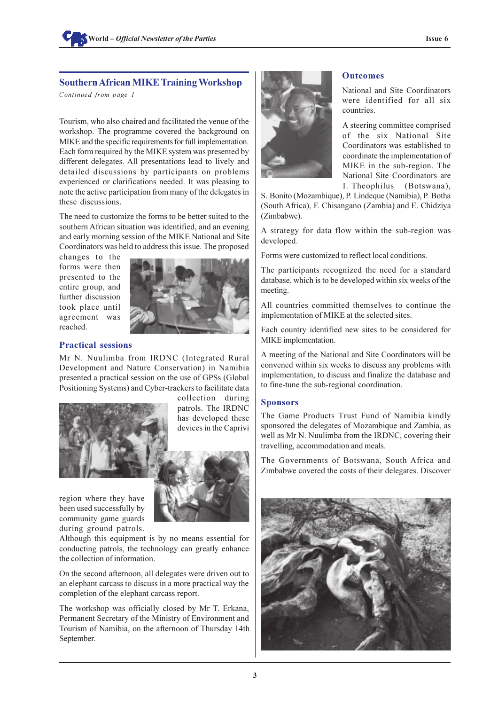# **Southern African MIKE Training Workshop**

*Continued from page 1*

Tourism, who also chaired and facilitated the venue of the workshop. The programme covered the background on MIKE and the specific requirements for full implementation. Each form required by the MIKE system was presented by different delegates. All presentations lead to lively and detailed discussions by participants on problems experienced or clarifications needed. It was pleasing to note the active participation from many of the delegates in these discussions.

The need to customize the forms to be better suited to the southern African situation was identified, and an evening and early morning session of the MIKE National and Site Coordinators was held to address this issue. The proposed

changes to the forms were then presented to the entire group, and further discussion took place until agreement was reached.



#### **Practical sessions**

Mr N. Nuulimba from IRDNC (Integrated Rural Development and Nature Conservation) in Namibia presented a practical session on the use of GPSs (Global Positioning Systems) and Cyber-trackers to facilitate data



collection during patrols. The IRDNC has developed these devices in the Caprivi

region where they have been used successfully by community game guards during ground patrols.



Although this equipment is by no means essential for conducting patrols, the technology can greatly enhance the collection of information.

On the second afternoon, all delegates were driven out to an elephant carcass to discuss in a more practical way the completion of the elephant carcass report.

The workshop was officially closed by Mr T. Erkana, Permanent Secretary of the Ministry of Environment and Tourism of Namibia, on the afternoon of Thursday 14th September.



#### **Outcomes**

National and Site Coordinators were identified for all six countries.

A steering committee comprised of the six National Site Coordinators was established to coordinate the implementation of MIKE in the sub-region. The National Site Coordinators are I. Theophilus (Botswana),

S. Bonito (Mozambique), P. Lindeque (Namibia), P. Botha (South Africa), F. Chisangano (Zambia) and E. Chidziya (Zimbabwe).

A strategy for data flow within the sub-region was developed.

Forms were customized to reflect local conditions.

The participants recognized the need for a standard database, which is to be developed within six weeks of the meeting.

All countries committed themselves to continue the implementation of MIKE at the selected sites.

Each country identified new sites to be considered for MIKE implementation.

A meeting of the National and Site Coordinators will be convened within six weeks to discuss any problems with implementation, to discuss and finalize the database and to fine-tune the sub-regional coordination.

#### **Sponsors**

The Game Products Trust Fund of Namibia kindly sponsored the delegates of Mozambique and Zambia, as well as Mr N. Nuulimba from the IRDNC, covering their travelling, accommodation and meals.

The Governments of Botswana, South Africa and Zimbabwe covered the costs of their delegates. Discover

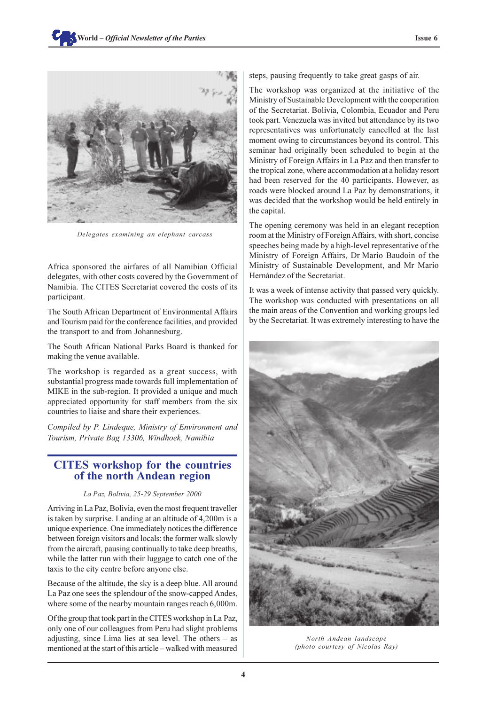

*Delegates examining an elephant carcass*

Africa sponsored the airfares of all Namibian Official delegates, with other costs covered by the Government of Namibia. The CITES Secretariat covered the costs of its participant.

The South African Department of Environmental Affairs and Tourism paid for the conference facilities, and provided the transport to and from Johannesburg.

The South African National Parks Board is thanked for making the venue available.

The workshop is regarded as a great success, with substantial progress made towards full implementation of MIKE in the sub-region. It provided a unique and much appreciated opportunity for staff members from the six countries to liaise and share their experiences.

*Compiled by P. Lindeque, Ministry of Environment and Tourism, Private Bag 13306, Windhoek, Namibia*

# **CITES workshop for the countries of the north Andean region**

#### *La Paz, Bolivia, 25-29 September 2000*

Arriving in La Paz, Bolivia, even the most frequent traveller is taken by surprise. Landing at an altitude of 4,200m is a unique experience. One immediately notices the difference between foreign visitors and locals: the former walk slowly from the aircraft, pausing continually to take deep breaths, while the latter run with their luggage to catch one of the taxis to the city centre before anyone else.

Because of the altitude, the sky is a deep blue. All around La Paz one sees the splendour of the snow-capped Andes, where some of the nearby mountain ranges reach 6,000m.

Of the group that took part in the CITES workshop in La Paz, only one of our colleagues from Peru had slight problems adjusting, since Lima lies at sea level. The others  $-$  as mentioned at the start of this article – walked with measured

steps, pausing frequently to take great gasps of air.

The workshop was organized at the initiative of the Ministry of Sustainable Development with the cooperation of the Secretariat. Bolivia, Colombia, Ecuador and Peru took part. Venezuela was invited but attendance by its two representatives was unfortunately cancelled at the last moment owing to circumstances beyond its control. This seminar had originally been scheduled to begin at the Ministry of Foreign Affairs in La Paz and then transfer to the tropical zone, where accommodation at a holiday resort had been reserved for the 40 participants. However, as roads were blocked around La Paz by demonstrations, it was decided that the workshop would be held entirely in the capital.

The opening ceremony was held in an elegant reception room at the Ministry of Foreign Affairs, with short, concise speeches being made by a high-level representative of the Ministry of Foreign Affairs, Dr Mario Baudoin of the Ministry of Sustainable Development, and Mr Mario Hernández of the Secretariat.

It was a week of intense activity that passed very quickly. The workshop was conducted with presentations on all the main areas of the Convention and working groups led by the Secretariat. It was extremely interesting to have the



*North Andean landscape (photo courtesy of Nicolas Ray)*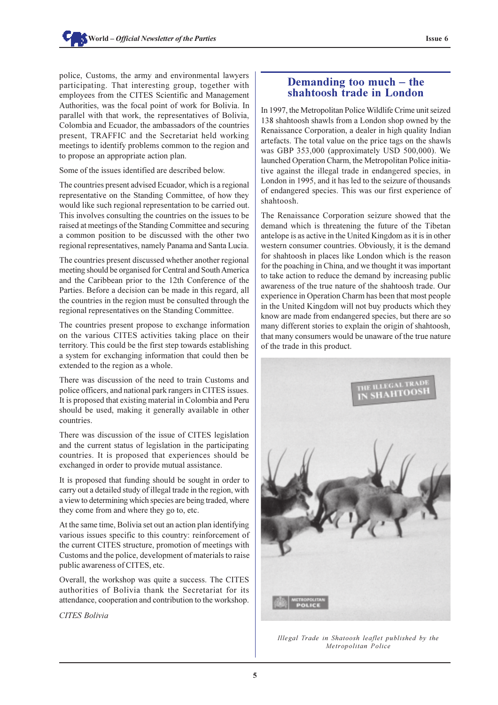police, Customs, the army and environmental lawyers participating. That interesting group, together with employees from the CITES Scientific and Management Authorities, was the focal point of work for Bolivia. In parallel with that work, the representatives of Bolivia, Colombia and Ecuador, the ambassadors of the countries present, TRAFFIC and the Secretariat held working meetings to identify problems common to the region and to propose an appropriate action plan.

Some of the issues identified are described below.

The countries present advised Ecuador, which is a regional representative on the Standing Committee, of how they would like such regional representation to be carried out. This involves consulting the countries on the issues to be raised at meetings of the Standing Committee and securing a common position to be discussed with the other two regional representatives, namely Panama and Santa Lucia.

The countries present discussed whether another regional meeting should be organised for Central and South America and the Caribbean prior to the 12th Conference of the Parties. Before a decision can be made in this regard, all the countries in the region must be consulted through the regional representatives on the Standing Committee.

The countries present propose to exchange information on the various CITES activities taking place on their territory. This could be the first step towards establishing a system for exchanging information that could then be extended to the region as a whole.

There was discussion of the need to train Customs and police officers, and national park rangers in CITES issues. It is proposed that existing material in Colombia and Peru should be used, making it generally available in other countries.

There was discussion of the issue of CITES legislation and the current status of legislation in the participating countries. It is proposed that experiences should be exchanged in order to provide mutual assistance.

It is proposed that funding should be sought in order to carry out a detailed study of illegal trade in the region, with a view to determining which species are being traded, where they come from and where they go to, etc.

At the same time, Bolivia set out an action plan identifying various issues specific to this country: reinforcement of the current CITES structure, promotion of meetings with Customs and the police, development of materials to raise public awareness of CITES, etc.

Overall, the workshop was quite a success. The CITES authorities of Bolivia thank the Secretariat for its attendance, cooperation and contribution to the workshop.

*CITES Bolivia*

# **Demanding too much – the shahtoosh trade in London**

In 1997, the Metropolitan Police Wildlife Crime unit seized 138 shahtoosh shawls from a London shop owned by the Renaissance Corporation, a dealer in high quality Indian artefacts. The total value on the price tags on the shawls was GBP 353,000 (approximately USD 500,000). We launched Operation Charm, the Metropolitan Police initiative against the illegal trade in endangered species, in London in 1995, and it has led to the seizure of thousands of endangered species. This was our first experience of shahtoosh.

The Renaissance Corporation seizure showed that the demand which is threatening the future of the Tibetan antelope is as active in the United Kingdom as it is in other western consumer countries. Obviously, it is the demand for shahtoosh in places like London which is the reason for the poaching in China, and we thought it was important to take action to reduce the demand by increasing public awareness of the true nature of the shahtoosh trade. Our experience in Operation Charm has been that most people in the United Kingdom will not buy products which they know are made from endangered species, but there are so many different stories to explain the origin of shahtoosh, that many consumers would be unaware of the true nature of the trade in this product.



*Illegal Trade in Shatoosh leaflet published by the Metropolitan Police*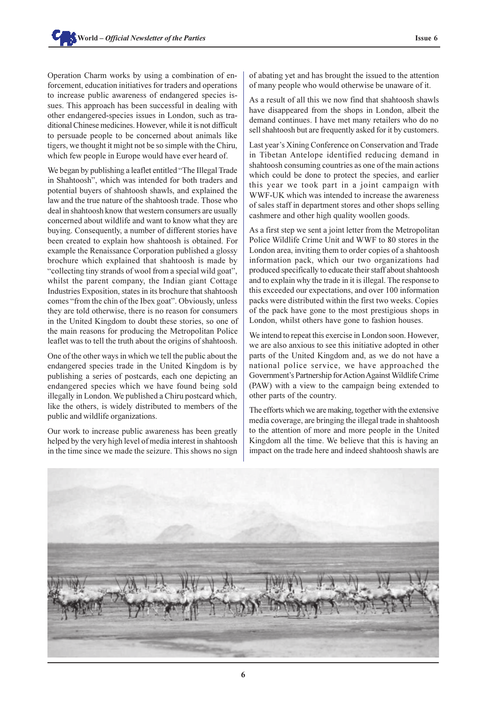Operation Charm works by using a combination of enforcement, education initiatives for traders and operations to increase public awareness of endangered species issues. This approach has been successful in dealing with other endangered-species issues in London, such as traditional Chinese medicines. However, while it is not difficult to persuade people to be concerned about animals like tigers, we thought it might not be so simple with the Chiru, which few people in Europe would have ever heard of.

We began by publishing a leaflet entitled "The Illegal Trade" in Shahtoosh", which was intended for both traders and potential buyers of shahtoosh shawls, and explained the law and the true nature of the shahtoosh trade. Those who deal in shahtoosh know that western consumers are usually concerned about wildlife and want to know what they are buying. Consequently, a number of different stories have been created to explain how shahtoosh is obtained. For example the Renaissance Corporation published a glossy brochure which explained that shahtoosh is made by "collecting tiny strands of wool from a special wild goat", whilst the parent company, the Indian giant Cottage Industries Exposition, states in its brochure that shahtoosh comes "from the chin of the Ibex goat". Obviously, unless they are told otherwise, there is no reason for consumers in the United Kingdom to doubt these stories, so one of the main reasons for producing the Metropolitan Police leaflet was to tell the truth about the origins of shahtoosh.

One of the other ways in which we tell the public about the endangered species trade in the United Kingdom is by publishing a series of postcards, each one depicting an endangered species which we have found being sold illegally in London. We published a Chiru postcard which, like the others, is widely distributed to members of the public and wildlife organizations.

Our work to increase public awareness has been greatly helped by the very high level of media interest in shahtoosh in the time since we made the seizure. This shows no sign of abating yet and has brought the issued to the attention of many people who would otherwise be unaware of it.

As a result of all this we now find that shahtoosh shawls have disappeared from the shops in London, albeit the demand continues. I have met many retailers who do no sell shahtoosh but are frequently asked for it by customers.

Last year's Xining Conference on Conservation and Trade in Tibetan Antelope identified reducing demand in shahtoosh consuming countries as one of the main actions which could be done to protect the species, and earlier this year we took part in a joint campaign with WWF-UK which was intended to increase the awareness of sales staff in department stores and other shops selling cashmere and other high quality woollen goods.

As a first step we sent a joint letter from the Metropolitan Police Wildlife Crime Unit and WWF to 80 stores in the London area, inviting them to order copies of a shahtoosh information pack, which our two organizations had produced specifically to educate their staff about shahtoosh and to explain why the trade in it is illegal. The response to this exceeded our expectations, and over 100 information packs were distributed within the first two weeks. Copies of the pack have gone to the most prestigious shops in London, whilst others have gone to fashion houses.

We intend to repeat this exercise in London soon. However, we are also anxious to see this initiative adopted in other parts of the United Kingdom and, as we do not have a national police service, we have approached the Government's Partnership for Action Against Wildlife Crime (PAW) with a view to the campaign being extended to other parts of the country.

The efforts which we are making, together with the extensive media coverage, are bringing the illegal trade in shahtoosh to the attention of more and more people in the United Kingdom all the time. We believe that this is having an impact on the trade here and indeed shahtoosh shawls are

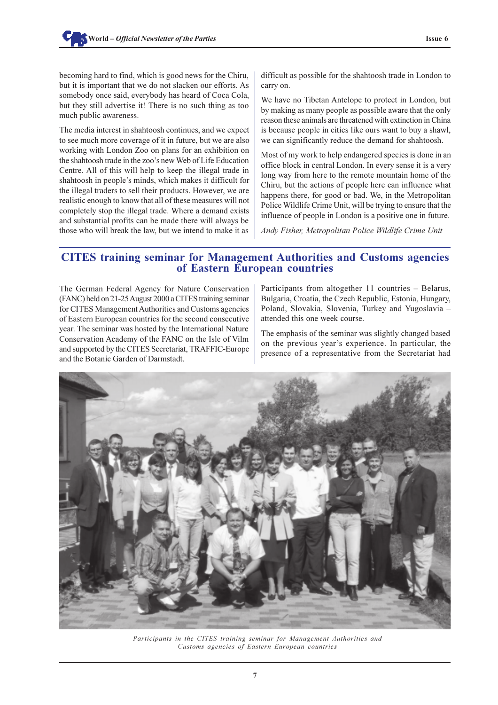becoming hard to find, which is good news for the Chiru, but it is important that we do not slacken our efforts. As somebody once said, everybody has heard of Coca Cola, but they still advertise it! There is no such thing as too much public awareness.

The media interest in shahtoosh continues, and we expect to see much more coverage of it in future, but we are also working with London Zoo on plans for an exhibition on the shahtoosh trade in the zoo's new Web of Life Education Centre. All of this will help to keep the illegal trade in shahtoosh in people's minds, which makes it difficult for the illegal traders to sell their products. However, we are realistic enough to know that all of these measures will not completely stop the illegal trade. Where a demand exists and substantial profits can be made there will always be those who will break the law, but we intend to make it as difficult as possible for the shahtoosh trade in London to carry on.

We have no Tibetan Antelope to protect in London, but by making as many people as possible aware that the only reason these animals are threatened with extinction in China is because people in cities like ours want to buy a shawl, we can significantly reduce the demand for shahtoosh.

Most of my work to help endangered species is done in an office block in central London. In every sense it is a very long way from here to the remote mountain home of the Chiru, but the actions of people here can influence what happens there, for good or bad. We, in the Metropolitan Police Wildlife Crime Unit, will be trying to ensure that the influence of people in London is a positive one in future.

*Andy Fisher, Metropolitan Police Wildlife Crime Unit*

# **CITES training seminar for Management Authorities and Customs agencies of Eastern European countries**

The German Federal Agency for Nature Conservation (FANC) held on 21-25 August 2000 a CITES training seminar for CITES Management Authorities and Customs agencies of Eastern European countries for the second consecutive year. The seminar was hosted by the International Nature Conservation Academy of the FANC on the Isle of Vilm and supported by the CITES Secretariat, TRAFFIC-Europe and the Botanic Garden of Darmstadt.

Participants from altogether  $11$  countries  $-$  Belarus, Bulgaria, Croatia, the Czech Republic, Estonia, Hungary, Poland, Slovakia, Slovenia, Turkey and Yugoslavia attended this one week course.

The emphasis of the seminar was slightly changed based on the previous year's experience. In particular, the presence of a representative from the Secretariat had



*Participants in the CITES training seminar for Management Authorities and Customs agencies of Eastern European countries*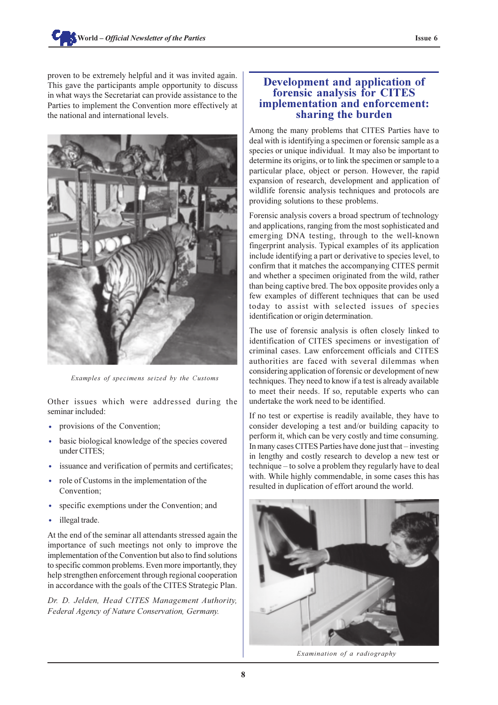proven to be extremely helpful and it was invited again. This gave the participants ample opportunity to discuss in what ways the Secretariat can provide assistance to the Parties to implement the Convention more effectively at the national and international levels.



*Examples of specimens seized by the Customs*

Other issues which were addressed during the seminar included:

- provisions of the Convention;
- basic biological knowledge of the species covered under CITES;
- · issuance and verification of permits and certificates;
- role of Customs in the implementation of the Convention;
- specific exemptions under the Convention; and
- illegal trade.

At the end of the seminar all attendants stressed again the importance of such meetings not only to improve the implementation of the Convention but also to find solutions to specific common problems. Even more importantly, they help strengthen enforcement through regional cooperation in accordance with the goals of the CITES Strategic Plan.

*Dr. D. Jelden, Head CITES Management Authority, Federal Agency of Nature Conservation, Germany.*

### **Development and application of forensic analysis for CITES implementation and enforcement: sharing the burden**

Among the many problems that CITES Parties have to deal with is identifying a specimen or forensic sample as a species or unique individual. It may also be important to determine its origins, or to link the specimen or sample to a particular place, object or person. However, the rapid expansion of research, development and application of wildlife forensic analysis techniques and protocols are providing solutions to these problems.

Forensic analysis covers a broad spectrum of technology and applications, ranging from the most sophisticated and emerging DNA testing, through to the well-known fingerprint analysis. Typical examples of its application include identifying a part or derivative to species level, to confirm that it matches the accompanying CITES permit and whether a specimen originated from the wild, rather than being captive bred. The box opposite provides only a few examples of different techniques that can be used today to assist with selected issues of species identification or origin determination.

The use of forensic analysis is often closely linked to identification of CITES specimens or investigation of criminal cases. Law enforcement officials and CITES authorities are faced with several dilemmas when considering application of forensic or development of new techniques. They need to know if a test is already available to meet their needs. If so, reputable experts who can undertake the work need to be identified.

If no test or expertise is readily available, they have to consider developing a test and/or building capacity to perform it, which can be very costly and time consuming. In many cases CITES Parties have done just that – investing in lengthy and costly research to develop a new test or technique – to solve a problem they regularly have to deal with. While highly commendable, in some cases this has resulted in duplication of effort around the world.



*Examination of a radiography*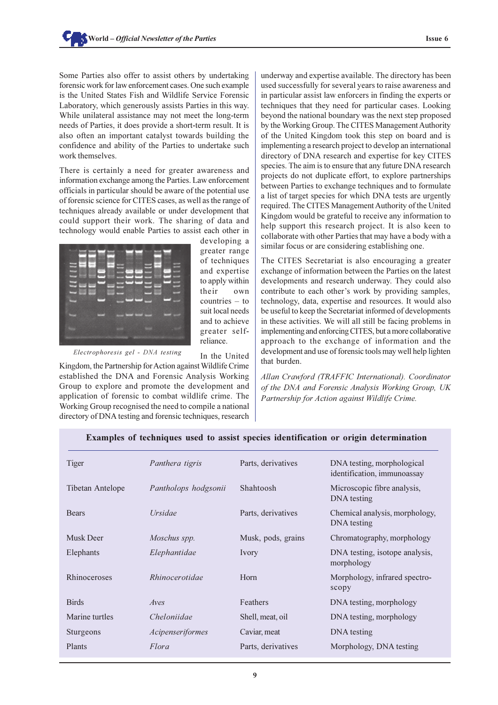Some Parties also offer to assist others by undertaking forensic work for law enforcement cases. One such example is the United States Fish and Wildlife Service Forensic Laboratory, which generously assists Parties in this way. While unilateral assistance may not meet the long-term needs of Parties, it does provide a short-term result. It is also often an important catalyst towards building the confidence and ability of the Parties to undertake such work themselves.

There is certainly a need for greater awareness and information exchange among the Parties. Law enforcement officials in particular should be aware of the potential use of forensic science for CITES cases, as well as the range of techniques already available or under development that could support their work. The sharing of data and technology would enable Parties to assist each other in

![](_page_8_Picture_3.jpeg)

developing a greater range of techniques and expertise to apply within their own countries  $-$  to suit local needs and to achieve greater selfreliance.

In the United

*Electrophoresis gel - DNA testing*

Kingdom, the Partnership for Action against Wildlife Crime established the DNA and Forensic Analysis Working Group to explore and promote the development and application of forensic to combat wildlife crime. The Working Group recognised the need to compile a national directory of DNA testing and forensic techniques, research underway and expertise available. The directory has been used successfully for several years to raise awareness and in particular assist law enforcers in finding the experts or techniques that they need for particular cases. Looking beyond the national boundary was the next step proposed by the Working Group. The CITES Management Authority of the United Kingdom took this step on board and is implementing a research project to develop an international directory of DNA research and expertise for key CITES species. The aim is to ensure that any future DNA research projects do not duplicate effort, to explore partnerships between Parties to exchange techniques and to formulate a list of target species for which DNA tests are urgently required. The CITES Management Authority of the United Kingdom would be grateful to receive any information to help support this research project. It is also keen to collaborate with other Parties that may have a body with a similar focus or are considering establishing one.

The CITES Secretariat is also encouraging a greater exchange of information between the Parties on the latest developments and research underway. They could also contribute to each other's work by providing samples, technology, data, expertise and resources. It would also be useful to keep the Secretariat informed of developments in these activities. We will all still be facing problems in implementing and enforcing CITES, but a more collaborative approach to the exchange of information and the development and use of forensic tools may well help lighten that burden.

*Allan Crawford (TRAFFIC International). Coordinator of the DNA and Forensic Analysis Working Group, UK Partnership for Action against Wildlife Crime.*

| Tiger            | Panthera tigris      | Parts, derivatives | DNA testing, morphological<br>identification, immunoassay |
|------------------|----------------------|--------------------|-----------------------------------------------------------|
| Tibetan Antelope | Pantholops hodgsonii | Shahtoosh          | Microscopic fibre analysis,<br>DNA testing                |
| <b>Bears</b>     | <i>Ursidae</i>       | Parts, derivatives | Chemical analysis, morphology,<br>DNA testing             |
| Musk Deer        | Moschus spp.         | Musk, pods, grains | Chromatography, morphology                                |
| Elephants        | Elephantidae         | Ivory              | DNA testing, isotope analysis,<br>morphology              |
| Rhinoceroses     | Rhinocerotidae       | Horn               | Morphology, infrared spectro-<br>scopy                    |
| <b>Birds</b>     | Aves                 | Feathers           | DNA testing, morphology                                   |
| Marine turtles   | Cheloniidae          | Shell, meat, oil   | DNA testing, morphology                                   |
| Sturgeons        | Acipenseriformes     | Caviar, meat       | DNA testing                                               |
| Plants           | Flora                | Parts, derivatives | Morphology, DNA testing                                   |
|                  |                      |                    |                                                           |

#### **Examples of techniques used to assist species identification or origin determination**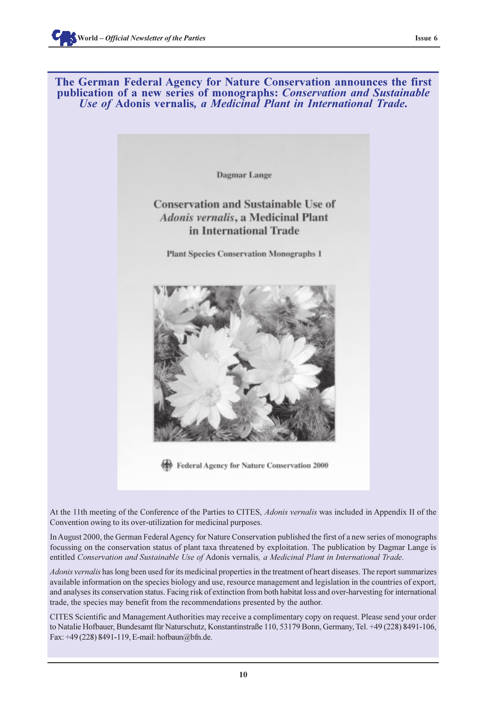![](_page_9_Picture_2.jpeg)

Dagmar Lange

# **Conservation and Sustainable Use of** Adonis vernalis, a Medicinal Plant in International Trade

**Plant Species Conservation Monographs 1** 

![](_page_9_Picture_6.jpeg)

Federal Agency for Nature Conservation 2000

At the 11th meeting of the Conference of the Parties to CITES, *Adonis vernalis* was included in Appendix II of the Convention owing to its over-utilization for medicinal purposes.

In August 2000, the German Federal Agency for Nature Conservation published the first of a new series of monographs focussing on the conservation status of plant taxa threatened by exploitation. The publication by Dagmar Lange is entitled *Conservation and Sustainable Use of* Adonis vernalis*, a Medicinal Plant in International Trade*.

*Adonis vernalis* has long been used for its medicinal properties in the treatment of heart diseases. The report summarizes available information on the species biology and use, resource management and legislation in the countries of export, and analyses its conservation status. Facing risk of extinction from both habitat loss and over-harvesting for international trade, the species may benefit from the recommendations presented by the author.

CITES Scientific and Management Authorities may receive a complimentary copy on request. Please send your order to Natalie Hofbauer, Bundesamt für Naturschutz, Konstantinstraße 110, 53179 Bonn, Germany, Tel. +49 (228) 8491-106, Fax: +49 (228) 8491-119, E-mail: hofbaun@bfn.de.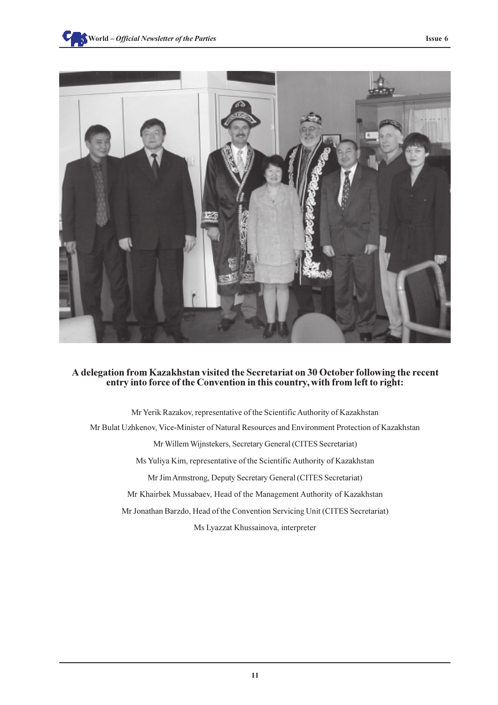![](_page_10_Picture_1.jpeg)

#### **A delegation from Kazakhstan visited the Secretariat on 30 October following the recent entry into force of the Convention in this country, with from left to right:**

Mr Yerik Razakov, representative of the Scientific Authority of Kazakhstan Mr Bulat Uzhkenov, Vice-Minister of Natural Resources and Environment Protection of Kazakhstan Mr Willem Wijnstekers, Secretary General (CITES Secretariat) Ms Yuliya Kim, representative of the Scientific Authority of Kazakhstan Mr Jim Armstrong, Deputy Secretary General (CITES Secretariat) Mr Khairbek Mussabaev, Head of the Management Authority of Kazakhstan Mr Jonathan Barzdo, Head of the Convention Servicing Unit (CITES Secretariat) Ms Lyazzat Khussainova, interpreter